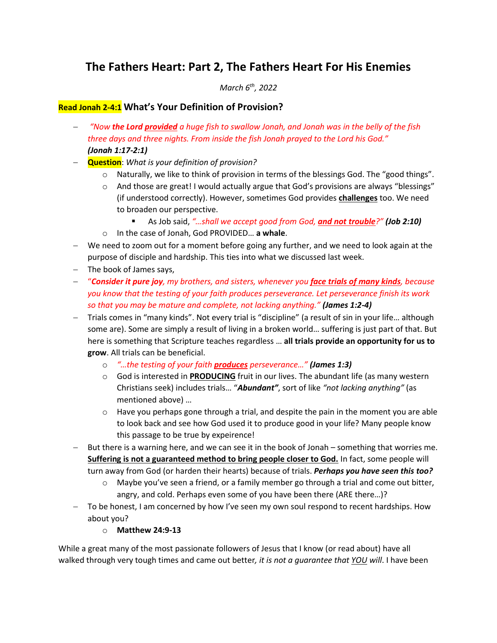# **The Fathers Heart: Part 2, The Fathers Heart For His Enemies**

*March 6th, 2022*

### **Read Jonah 2-4:1 What's Your Definition of Provision?**

- − *"Now the Lord provided a huge fish to swallow Jonah, and Jonah was in the belly of the fish three days and three nights. From inside the fish Jonah prayed to the Lord his God." (Jonah 1:17-2:1)*
- − **Question**: *What is your definition of provision?*
	- o Naturally, we like to think of provision in terms of the blessings God. The "good things".
	- $\circ$  And those are great! I would actually argue that God's provisions are always "blessings" (if understood correctly). However, sometimes God provides **challenges** too. We need to broaden our perspective.
		- As Job said, "...shall we accept good from God, and not trouble?" (Job 2:10)
	- o In the case of Jonah, God PROVIDED… **a whale**.
- − We need to zoom out for a moment before going any further, and we need to look again at the purpose of disciple and hardship. This ties into what we discussed last week.
- − The book of James says,
- − "*Consider it pure joy, my brothers, and sisters, whenever you face trials of many kinds, because you know that the testing of your faith produces perseverance. Let perseverance finish its work so that you may be mature and complete, not lacking anything." (James 1:2-4)*
- − Trials comes in "many kinds". Not every trial is "discipline" (a result of sin in your life… although some are). Some are simply a result of living in a broken world… suffering is just part of that. But here is something that Scripture teaches regardless … **all trials provide an opportunity for us to grow**. All trials can be beneficial.
	- o *"…the testing of your faith produces perseverance…" (James 1:3)*
	- o God is interested in **PRODUCING** fruit in our lives. The abundant life (as many western Christians seek) includes trials… "*Abundant"*, sort of like *"not lacking anything"* (as mentioned above) …
	- $\circ$  Have you perhaps gone through a trial, and despite the pain in the moment you are able to look back and see how God used it to produce good in your life? Many people know this passage to be true by expeirence!
- − But there is a warning here, and we can see it in the book of Jonah something that worries me. **Suffering is not a guaranteed method to bring people closer to God.** In fact, some people will turn away from God (or harden their hearts) because of trials. *Perhaps you have seen this too?*
	- $\circ$  Maybe you've seen a friend, or a family member go through a trial and come out bitter, angry, and cold. Perhaps even some of you have been there (ARE there…)?
- − To be honest, I am concerned by how I've seen my own soul respond to recent hardships. How about you?
	- o **Matthew 24:9-13**

While a great many of the most passionate followers of Jesus that I know (or read about) have all walked through very tough times and came out better*, it is not a guarantee that YOU will*. I have been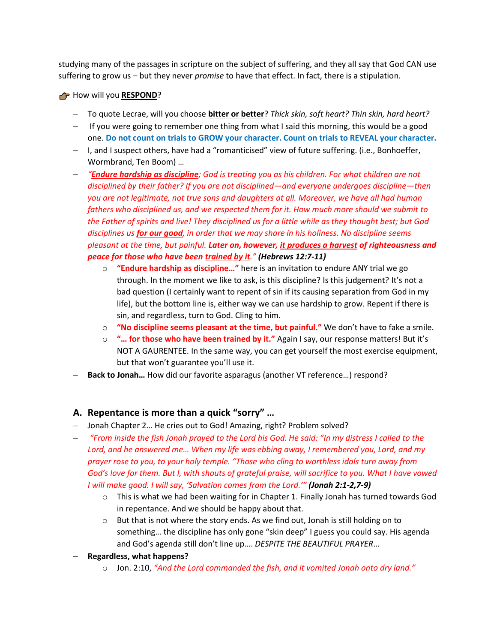studying many of the passages in scripture on the subject of suffering, and they all say that God CAN use suffering to grow us – but they never *promise* to have that effect. In fact, there is a stipulation.

#### How will you **RESPOND**?

- − To quote Lecrae, will you choose **bitter or better**? *Thick skin, soft heart? Thin skin, hard heart?*
- − If you were going to remember one thing from what I said this morning, this would be a good one. **Do not count on trials to GROW your character. Count on trials to REVEAL your character.**
- − I, and I suspect others, have had a "romanticised" view of future suffering. (i.e., Bonhoeffer, Wormbrand, Ten Boom) …
- − *"Endure hardship as discipline; God is treating you as his children. For what children are not disciplined by their father? If you are not disciplined—and everyone undergoes discipline—then you are not legitimate, not true sons and daughters at all. Moreover, we have all had human fathers who disciplined us, and we respected them for it. How much more should we submit to the Father of spirits and live! They disciplined us for a little while as they thought best; but God disciplines us for our good, in order that we may share in his holiness. No discipline seems pleasant at the time, but painful. Later on, however, it produces a harvest of righteousness and peace for those who have been trained by it." (Hebrews 12:7-11)*
	- o **"Endure hardship as discipline…"** here is an invitation to endure ANY trial we go through. In the moment we like to ask, is this discipline? Is this judgement? It's not a bad question (I certainly want to repent of sin if its causing separation from God in my life), but the bottom line is, either way we can use hardship to grow. Repent if there is sin, and regardless, turn to God. Cling to him.
	- o **"No discipline seems pleasant at the time, but painful."** We don't have to fake a smile.
	- o **"… for those who have been trained by it."** Again I say, our response matters! But it's NOT A GAURENTEE. In the same way, you can get yourself the most exercise equipment, but that won't guarantee you'll use it.
- Back to Jonah... How did our favorite asparagus (another VT reference...) respond?

# **A. Repentance is more than a quick "sorry" …**

- − Jonah Chapter 2… He cries out to God! Amazing, right? Problem solved?
- − *"From inside the fish Jonah prayed to the Lord his God. He said: "In my distress I called to the Lord, and he answered me… When my life was ebbing away, I remembered you, Lord, and my prayer rose to you, to your holy temple. "Those who cling to worthless idols turn away from God's love for them. But I, with shouts of grateful praise, will sacrifice to you. What I have vowed I will make good. I will say, 'Salvation comes from the Lord.'" (Jonah 2:1-2,7-9)*
	- $\circ$  This is what we had been waiting for in Chapter 1. Finally Jonah has turned towards God in repentance. And we should be happy about that.
	- $\circ$  But that is not where the story ends. As we find out, Jonah is still holding on to something… the discipline has only gone "skin deep" I guess you could say. His agenda and God's agenda still don't line up…. *DESPITE THE BEAUTIFUL PRAYER*…
- − **Regardless, what happens?**
	- o Jon. 2:10, *"And the Lord commanded the fish, and it vomited Jonah onto dry land."*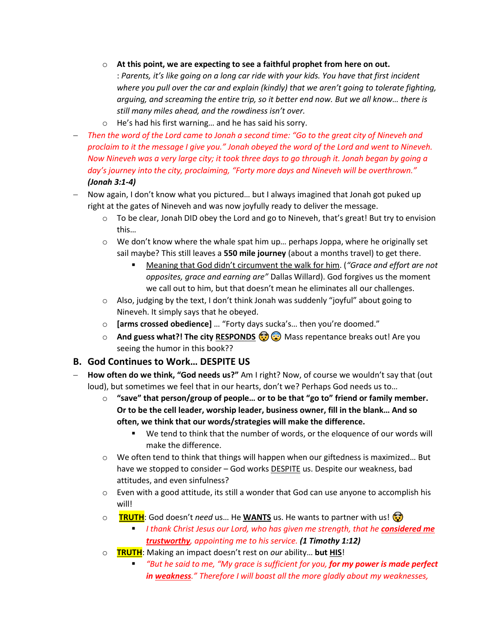- o **At this point, we are expecting to see a faithful prophet from here on out.** : *Parents, it's like going on a long car ride with your kids. You have that first incident where you pull over the car and explain (kindly) that we aren't going to tolerate fighting, arguing, and screaming the entire trip, so it better end now. But we all know… there is still many miles ahead, and the rowdiness isn't over.*
- o He's had his first warning… and he has said his sorry.
- − *Then the word of the Lord came to Jonah a second time: "Go to the great city of Nineveh and proclaim to it the message I give you." Jonah obeyed the word of the Lord and went to Nineveh. Now Nineveh was a very large city; it took three days to go through it. Jonah began by going a day's journey into the city, proclaiming, "Forty more days and Nineveh will be overthrown." (Jonah 3:1-4)*
- − Now again, I don't know what you pictured… but I always imagined that Jonah got puked up right at the gates of Nineveh and was now joyfully ready to deliver the message.
	- $\circ$  To be clear, Jonah DID obey the Lord and go to Nineveh, that's great! But try to envision this…
	- $\circ$  We don't know where the whale spat him up... perhaps Joppa, where he originally set sail maybe? This still leaves a **550 mile journey** (about a months travel) to get there.
		- Meaning that God didn't circumvent the walk for him. (*"Grace and effort are not opposites, grace and earning are"* Dallas Willard). God forgives us the moment we call out to him, but that doesn't mean he eliminates all our challenges.
	- $\circ$  Also, judging by the text, I don't think Jonah was suddenly "joyful" about going to Nineveh. It simply says that he obeyed.
	- o **[arms crossed obedience]** … "Forty days sucka's… then you're doomed."
	- o **And guess what?! The city RESPONDS (2)** Mass repentance breaks out! Are you seeing the humor in this book??

# **B. God Continues to Work… DESPITE US**

- − **How often do we think, "God needs us?"** Am I right? Now, of course we wouldn't say that (out loud), but sometimes we feel that in our hearts, don't we? Perhaps God needs us to…
	- o **"save" that person/group of people… or to be that "go to" friend or family member. Or to be the cell leader, worship leader, business owner, fill in the blank… And so often, we think that our words/strategies will make the difference.**
		- We tend to think that the number of words, or the eloquence of our words will make the difference.
	- $\circ$  We often tend to think that things will happen when our giftedness is maximized... But have we stopped to consider - God works **DESPITE** us. Despite our weakness, bad attitudes, and even sinfulness?
	- $\circ$  Even with a good attitude, its still a wonder that God can use anyone to accomplish his will!
	- o **TRUTH**: God doesn't *need* us… He **WANTS** us. He wants to partner with us!
		- **E** *I thank Christ Jesus our Lord, who has given me strength, that he <i>considered me trustworthy, appointing me to his service. (1 Timothy 1:12)*
	- o **TRUTH**: Making an impact doesn't rest on *our* ability… **but HIS**!
		- *"But he said to me, "My grace is sufficient for you, for my power is made perfect in weakness." Therefore I will boast all the more gladly about my weaknesses,*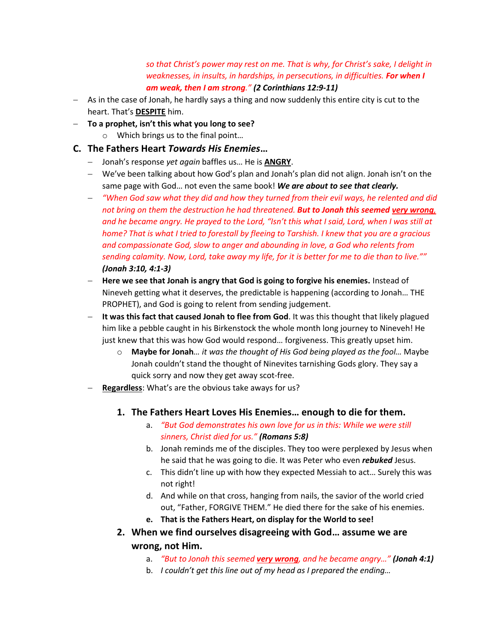*so that Christ's power may rest on me. That is why, for Christ's sake, I delight in weaknesses, in insults, in hardships, in persecutions, in difficulties. For when I am weak, then I am strong." (2 Corinthians 12:9-11)*

- − As in the case of Jonah, he hardly says a thing and now suddenly this entire city is cut to the heart. That's **DESPITE** him.
- − **To a prophet, isn't this what you long to see?**
	- o Which brings us to the final point…

### **C. The Fathers Heart** *Towards His Enemies***…**

- − Jonah's response *yet again* baffles us… He is **ANGRY**.
- − We've been talking about how God's plan and Jonah's plan did not align. Jonah isn't on the same page with God… not even the same book! *We are about to see that clearly.*
- − *"When God saw what they did and how they turned from their evil ways, he relented and did not bring on them the destruction he had threatened. But to Jonah this seemed very wrong, and he became angry. He prayed to the Lord, "Isn't this what I said, Lord, when I was still at home? That is what I tried to forestall by fleeing to Tarshish. I knew that you are a gracious and compassionate God, slow to anger and abounding in love, a God who relents from sending calamity. Now, Lord, take away my life, for it is better for me to die than to live."" (Jonah 3:10, 4:1-3)*
- − **Here we see that Jonah is angry that God is going to forgive his enemies.** Instead of Nineveh getting what it deserves, the predictable is happening (according to Jonah… THE PROPHET), and God is going to relent from sending judgement.
- − **It was this fact that caused Jonah to flee from God**. It was this thought that likely plagued him like a pebble caught in his Birkenstock the whole month long journey to Nineveh! He just knew that this was how God would respond… forgiveness. This greatly upset him.
	- o **Maybe for Jonah***… it was the thought of His God being played as the fool…* Maybe Jonah couldn't stand the thought of Ninevites tarnishing Gods glory. They say a quick sorry and now they get away scot-free.
- − **Regardless**: What's are the obvious take aways for us?
	- **1. The Fathers Heart Loves His Enemies… enough to die for them.**
		- a. *"But God demonstrates his own love for us in this: While we were still sinners, Christ died for us." (Romans 5:8)*
		- b. Jonah reminds me of the disciples. They too were perplexed by Jesus when he said that he was going to die. It was Peter who even *rebuked* Jesus.
		- c. This didn't line up with how they expected Messiah to act… Surely this was not right!
		- d. And while on that cross, hanging from nails, the savior of the world cried out, "Father, FORGIVE THEM." He died there for the sake of his enemies.
		- **e. That is the Fathers Heart, on display for the World to see!**
	- **2. When we find ourselves disagreeing with God… assume we are wrong, not Him.**
		- a. *"But to Jonah this seemed very wrong, and he became angry…" (Jonah 4:1)*
		- b. *I couldn't get this line out of my head as I prepared the ending…*